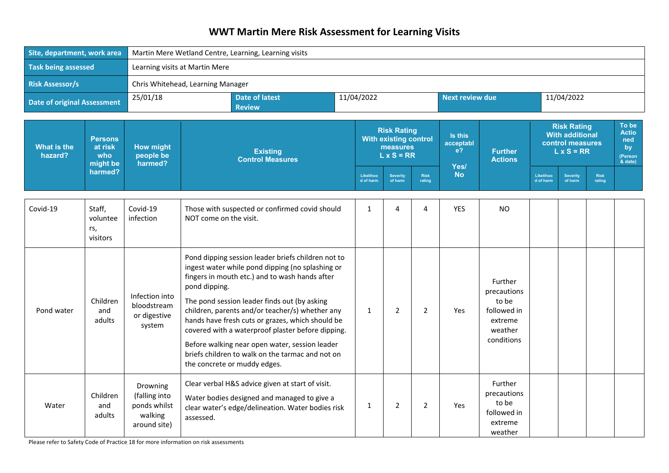## **WWT Martin Mere Risk Assessment for Learning Visits**

| Site, department, work area        |                                              | Martin Mere Wetland Centre, Learning, Learning visits                |                                                                                                                                                                                                                                                                                                                                                                                                                                                                                                                             |              |                                                                                     |                       |                        |                                                                                    |                                                                                       |                            |                |                                                            |
|------------------------------------|----------------------------------------------|----------------------------------------------------------------------|-----------------------------------------------------------------------------------------------------------------------------------------------------------------------------------------------------------------------------------------------------------------------------------------------------------------------------------------------------------------------------------------------------------------------------------------------------------------------------------------------------------------------------|--------------|-------------------------------------------------------------------------------------|-----------------------|------------------------|------------------------------------------------------------------------------------|---------------------------------------------------------------------------------------|----------------------------|----------------|------------------------------------------------------------|
| <b>Task being assessed</b>         |                                              | Learning visits at Martin Mere                                       |                                                                                                                                                                                                                                                                                                                                                                                                                                                                                                                             |              |                                                                                     |                       |                        |                                                                                    |                                                                                       |                            |                |                                                            |
| <b>Risk Assessor/s</b>             |                                              |                                                                      | Chris Whitehead, Learning Manager                                                                                                                                                                                                                                                                                                                                                                                                                                                                                           |              |                                                                                     |                       |                        |                                                                                    |                                                                                       |                            |                |                                                            |
| <b>Date of original Assessment</b> |                                              | 25/01/18                                                             | <b>Date of latest</b><br><b>Review</b>                                                                                                                                                                                                                                                                                                                                                                                                                                                                                      | 11/04/2022   |                                                                                     |                       | <b>Next review due</b> |                                                                                    |                                                                                       | 11/04/2022                 |                |                                                            |
| What is the<br>hazard?             | <b>Persons</b><br>at risk<br>who<br>might be | <b>How might</b><br>people be<br>harmed?                             | <b>Existing</b><br><b>Control Measures</b>                                                                                                                                                                                                                                                                                                                                                                                                                                                                                  |              | <b>Risk Rating</b><br><b>With existing control</b><br>measures<br>$L \times S = RR$ |                       |                        | <b>Further</b><br><b>Actions</b>                                                   | <b>Risk Rating</b><br><b>With additional</b><br>control measures<br>$L \times S = RR$ |                            |                | To be<br><b>Actio</b><br>ned<br>bv<br>(Person<br>$&$ date) |
|                                    | harmed?                                      |                                                                      |                                                                                                                                                                                                                                                                                                                                                                                                                                                                                                                             |              | <b>Severity</b><br>of harm                                                          | <b>Risk</b><br>rating | Yes/<br><b>No</b>      |                                                                                    | Likelihoo<br>d of harm                                                                | <b>Severity</b><br>of harm | Risk<br>rating |                                                            |
| Covid-19                           | Staff,<br>voluntee<br>rs,<br>visitors        | Covid-19<br>infection                                                | Those with suspected or confirmed covid should<br>NOT come on the visit.                                                                                                                                                                                                                                                                                                                                                                                                                                                    | 1            | 4                                                                                   | 4                     | YES                    | <b>NO</b>                                                                          |                                                                                       |                            |                |                                                            |
| Pond water                         | Children<br>and<br>adults                    | Infection into<br>bloodstream<br>or digestive<br>system              | Pond dipping session leader briefs children not to<br>ingest water while pond dipping (no splashing or<br>fingers in mouth etc.) and to wash hands after<br>pond dipping.<br>The pond session leader finds out (by asking<br>children, parents and/or teacher/s) whether any<br>hands have fresh cuts or grazes, which should be<br>covered with a waterproof plaster before dipping.<br>Before walking near open water, session leader<br>briefs children to walk on the tarmac and not on<br>the concrete or muddy edges. | $\mathbf{1}$ | $\overline{2}$                                                                      | $\overline{2}$        | <b>Yes</b>             | Further<br>precautions<br>to be<br>followed in<br>extreme<br>weather<br>conditions |                                                                                       |                            |                |                                                            |
| Water                              | Children<br>and<br>adults                    | Drowning<br>(falling into<br>ponds whilst<br>walking<br>around site) | Clear verbal H&S advice given at start of visit.<br>Water bodies designed and managed to give a<br>clear water's edge/delineation. Water bodies risk<br>assessed.                                                                                                                                                                                                                                                                                                                                                           | $\mathbf{1}$ | $\overline{2}$                                                                      | $\overline{2}$        | Yes                    | Further<br>precautions<br>to be<br>followed in<br>extreme<br>weather               |                                                                                       |                            |                |                                                            |

Please refer to Safety Code of Practice 18 for more information on risk assessments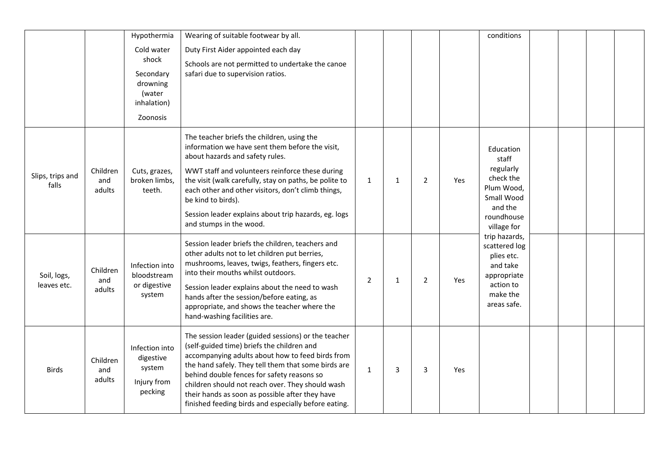|                            |                           | Hypothermia<br>Cold water<br>shock<br>Secondary<br>drowning<br>(water<br>inhalation)<br>Zoonosis | Wearing of suitable footwear by all.<br>Duty First Aider appointed each day<br>Schools are not permitted to undertake the canoe<br>safari due to supervision ratios.                                                                                                                                                                                                                                                      |                |              |                |     | conditions                                                                                                       |  |  |
|----------------------------|---------------------------|--------------------------------------------------------------------------------------------------|---------------------------------------------------------------------------------------------------------------------------------------------------------------------------------------------------------------------------------------------------------------------------------------------------------------------------------------------------------------------------------------------------------------------------|----------------|--------------|----------------|-----|------------------------------------------------------------------------------------------------------------------|--|--|
| Slips, trips and<br>falls  | Children<br>and<br>adults | Cuts, grazes,<br>broken limbs,<br>teeth.                                                         | The teacher briefs the children, using the<br>information we have sent them before the visit,<br>about hazards and safety rules.<br>WWT staff and volunteers reinforce these during<br>the visit (walk carefully, stay on paths, be polite to<br>each other and other visitors, don't climb things,<br>be kind to birds).<br>Session leader explains about trip hazards, eg. logs<br>and stumps in the wood.              | $\mathbf{1}$   | 1            | $\overline{2}$ | Yes | Education<br>staff<br>regularly<br>check the<br>Plum Wood,<br>Small Wood<br>and the<br>roundhouse<br>village for |  |  |
| Soil, logs,<br>leaves etc. | Children<br>and<br>adults | Infection into<br>bloodstream<br>or digestive<br>system                                          | Session leader briefs the children, teachers and<br>other adults not to let children put berries,<br>mushrooms, leaves, twigs, feathers, fingers etc.<br>into their mouths whilst outdoors.<br>Session leader explains about the need to wash<br>hands after the session/before eating, as<br>appropriate, and shows the teacher where the<br>hand-washing facilities are.                                                | $\overline{2}$ | $\mathbf{1}$ | $\overline{2}$ | Yes | trip hazards,<br>scattered log<br>plies etc.<br>and take<br>appropriate<br>action to<br>make the<br>areas safe.  |  |  |
| <b>Birds</b>               | Children<br>and<br>adults | Infection into<br>digestive<br>system<br>Injury from<br>pecking                                  | The session leader (guided sessions) or the teacher<br>(self-guided time) briefs the children and<br>accompanying adults about how to feed birds from<br>the hand safely. They tell them that some birds are<br>behind double fences for safety reasons so<br>children should not reach over. They should wash<br>their hands as soon as possible after they have<br>finished feeding birds and especially before eating. | $\mathbf{1}$   | 3            | 3              | Yes |                                                                                                                  |  |  |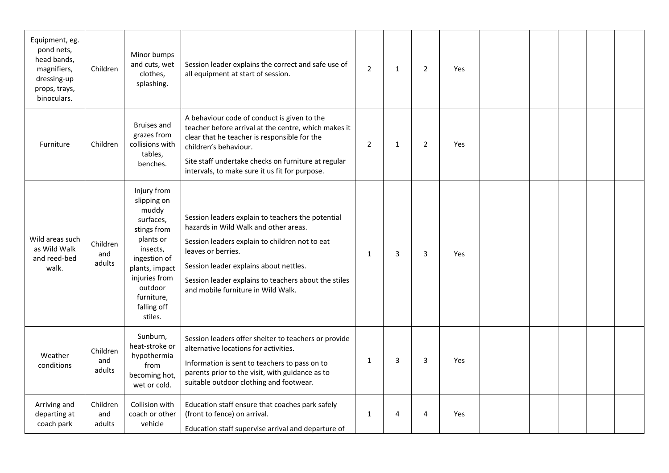| Equipment, eg.<br>pond nets,<br>head bands,<br>magnifiers,<br>dressing-up<br>props, trays,<br>binoculars. | Children                  | Minor bumps<br>and cuts, wet<br>clothes,<br>splashing.                                                                                                                                         | Session leader explains the correct and safe use of<br>all equipment at start of session.                                                                                                                                                                                                                  | $\overline{2}$ | $\mathbf{1}$ | $\overline{2}$ | Yes |  |  |  |
|-----------------------------------------------------------------------------------------------------------|---------------------------|------------------------------------------------------------------------------------------------------------------------------------------------------------------------------------------------|------------------------------------------------------------------------------------------------------------------------------------------------------------------------------------------------------------------------------------------------------------------------------------------------------------|----------------|--------------|----------------|-----|--|--|--|
| Furniture                                                                                                 | Children                  | <b>Bruises and</b><br>grazes from<br>collisions with<br>tables,<br>benches.                                                                                                                    | A behaviour code of conduct is given to the<br>teacher before arrival at the centre, which makes it<br>clear that he teacher is responsible for the<br>children's behaviour.<br>Site staff undertake checks on furniture at regular<br>intervals, to make sure it us fit for purpose.                      | $\overline{2}$ | $\mathbf{1}$ | $\overline{2}$ | Yes |  |  |  |
| Wild areas such<br>as Wild Walk<br>and reed-bed<br>walk.                                                  | Children<br>and<br>adults | Injury from<br>slipping on<br>muddy<br>surfaces,<br>stings from<br>plants or<br>insects,<br>ingestion of<br>plants, impact<br>injuries from<br>outdoor<br>furniture,<br>falling off<br>stiles. | Session leaders explain to teachers the potential<br>hazards in Wild Walk and other areas.<br>Session leaders explain to children not to eat<br>leaves or berries.<br>Session leader explains about nettles.<br>Session leader explains to teachers about the stiles<br>and mobile furniture in Wild Walk. | $\mathbf{1}$   | 3            | 3              | Yes |  |  |  |
| Weather<br>conditions                                                                                     | Children<br>and<br>adults | Sunburn,<br>heat-stroke or<br>hypothermia<br>from<br>becoming hot,<br>wet or cold.                                                                                                             | Session leaders offer shelter to teachers or provide<br>alternative locations for activities.<br>Information is sent to teachers to pass on to<br>parents prior to the visit, with guidance as to<br>suitable outdoor clothing and footwear.                                                               | $\mathbf{1}$   | 3            | 3              | Yes |  |  |  |
| Arriving and<br>departing at<br>coach park                                                                | Children<br>and<br>adults | Collision with<br>coach or other<br>vehicle                                                                                                                                                    | Education staff ensure that coaches park safely<br>(front to fence) on arrival.<br>Education staff supervise arrival and departure of                                                                                                                                                                      | $\mathbf{1}$   | 4            | 4              | Yes |  |  |  |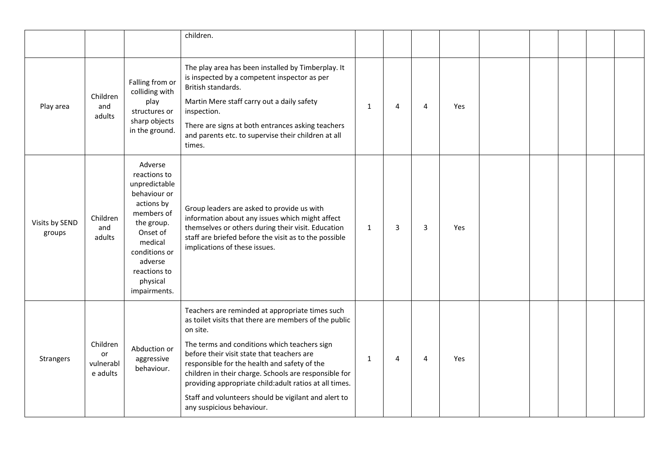|                          |                                         |                                                                                                                                                                                                   | children.                                                                                                                                                                                                                                                                                                                                                                                                                                                                   |              |   |   |     |  |  |  |
|--------------------------|-----------------------------------------|---------------------------------------------------------------------------------------------------------------------------------------------------------------------------------------------------|-----------------------------------------------------------------------------------------------------------------------------------------------------------------------------------------------------------------------------------------------------------------------------------------------------------------------------------------------------------------------------------------------------------------------------------------------------------------------------|--------------|---|---|-----|--|--|--|
| Play area                | Children<br>and<br>adults               | Falling from or<br>colliding with<br>play<br>structures or<br>sharp objects<br>in the ground.                                                                                                     | The play area has been installed by Timberplay. It<br>is inspected by a competent inspector as per<br>British standards.<br>Martin Mere staff carry out a daily safety<br>inspection.<br>There are signs at both entrances asking teachers<br>and parents etc. to supervise their children at all<br>times.                                                                                                                                                                 | $\mathbf{1}$ | 4 | 4 | Yes |  |  |  |
| Visits by SEND<br>groups | Children<br>and<br>adults               | Adverse<br>reactions to<br>unpredictable<br>behaviour or<br>actions by<br>members of<br>the group.<br>Onset of<br>medical<br>conditions or<br>adverse<br>reactions to<br>physical<br>impairments. | Group leaders are asked to provide us with<br>information about any issues which might affect<br>themselves or others during their visit. Education<br>staff are briefed before the visit as to the possible<br>implications of these issues.                                                                                                                                                                                                                               | 1            | 3 | 3 | Yes |  |  |  |
| Strangers                | Children<br>or<br>vulnerabl<br>e adults | Abduction or<br>aggressive<br>behaviour.                                                                                                                                                          | Teachers are reminded at appropriate times such<br>as toilet visits that there are members of the public<br>on site.<br>The terms and conditions which teachers sign<br>before their visit state that teachers are<br>responsible for the health and safety of the<br>children in their charge. Schools are responsible for<br>providing appropriate child: adult ratios at all times.<br>Staff and volunteers should be vigilant and alert to<br>any suspicious behaviour. | $\mathbf{1}$ | 4 | 4 | Yes |  |  |  |